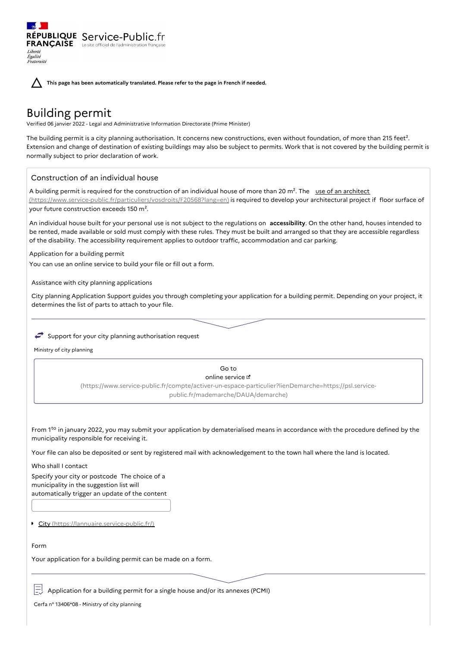**This page has been automatically translated. Please refer to the page in French if needed.**

# Building permit

Liberté Égalité<br>Fraternité

Verified 06 janvier 2022 - Legal and Administrative Information Directorate (Prime Minister)

The building permit is a city planning authorisation. It concerns new constructions, even without foundation, of more than 215 feet<sup>2</sup>. Extension and change of destination of existing buildings may also be subject to permits. Work that is not covered by the building permit is normally subject to prior declaration of work.

# Construction of an individual house

RÉPUBLIQUE Service-Public.fr **FRANÇAISE** Le site officiel de l'administration

A building permit is required for the construction of an individual house of more than 20 m<sup>2</sup>. The use of an architect [\(https://www.service-public.fr/particuliers/vosdroits/F20568?lang=en\)](https://www.service-public.fr/particuliers/vosdroits/F20568?lang=en) is required to develop your architectural project if floor surface of your future construction exceeds 150 m².

An individual house built for your personal use is not subject to the regulations on **accessibility**. On the other hand, houses intended to be rented, made available or sold must comply with these rules. They must be built and arranged so that they are accessible regardless of the disability. The accessibility requirement applies to outdoor traffic, accommodation and car parking.

Application for a building permit

You can use an online service to build your file or fill out a form.

Assistance with city planning applications

City planning Application Support guides you through completing your application for a building permit. Depending on your project, it determines the list of parts to attach to your file.

## $\rightarrow$  Support for your city planning authorisation request

Ministry of city planning

Go to online service [\(https://www.service-public.fr/compte/activer-un-espace-particulier?lienDemarche=https://psl.service](https://www.service-public.fr/compte/activer-un-espace-particulier?lienDemarche=https://psl.service-public.fr/mademarche/DAUA/demarche)public.fr/mademarche/DAUA/demarche)

From  $1<sup>to</sup>$  in january 2022, you may submit your application by dematerialised means in accordance with the procedure defined by the municipality responsible for receiving it.

Your file can also be deposited or sent by registered mail with acknowledgement to the town hall where the land is located.

Who shall I contact Specify your city or postcode The choice of a municipality in the suggestion list will automatically trigger an update of the content

City [\(https://lannuaire.service-public.fr/\)](https://lannuaire.service-public.fr/)

## Form

Your application for a building permit can be made on a form.

Application for a building permit for a single house and/or its annexes (PCMI)

Cerfa n° 13406\*08 - Ministry of city planning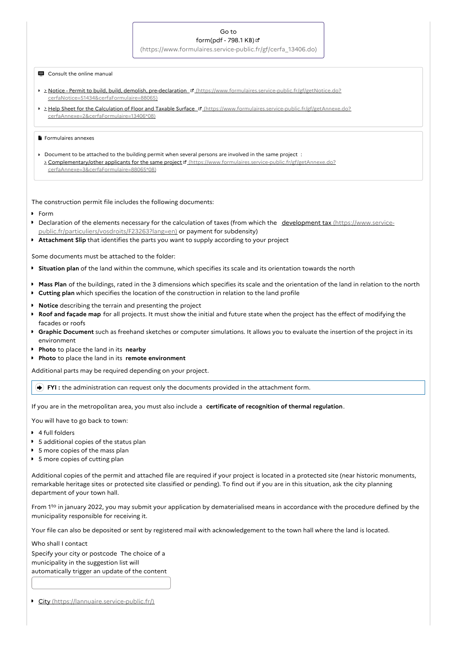#### Go to form(pdf - 798.1 KB)

[\(https://www.formulaires.service-public.fr/gf/cerfa\\_13406.do\)](https://www.formulaires.service-public.fr/gf/cerfa_13406.do)

## **E** Consult the online manual

- 2 Notice Permit to build, build, demolish, pre-declaration <sup>1</sup> [\(https://www.formulaires.service-public.fr/gf/getNotice.do?](https://www.formulaires.service-public.fr/gf/getNotice.do?cerfaNotice=51434&cerfaFormulaire=88065) cerfaNotice=51434&cerfaFormulaire=88065)
- **Help Sheet for the Calculation of Floor and Taxable Surface E** [\(https://www.formulaires.service-public.fr/gf/getAnnexe.do?](https://www.formulaires.service-public.fr/gf/getAnnexe.do?cerfaAnnexe=2&cerfaFormulaire=13406*08) cerfaAnnexe=2&cerfaFormulaire=13406\*08)

#### **Formulaires annexes**

Document to be attached to the building permit when several persons are involved in the same project : > Complementary/other applicants for the same project d' [\(https://www.formulaires.service-public.fr/gf/getAnnexe.do?](https://www.formulaires.service-public.fr/gf/getAnnexe.do?cerfaAnnexe=3&cerfaFormulaire=88065*08) cerfaAnnexe=3&cerfaFormulaire=88065\*08)

The construction permit file includes the following documents:

- **Form**
- Declaration of the elements necessary for the calculation of taxes (from which the development tax (https://www.service[public.fr/particuliers/vosdroits/F23263?lang=en\)](https://www.service-public.fr/particuliers/vosdroits/F23263?lang=en) or payment for subdensity)
- **Attachment Slip** that identifies the parts you want to supply according to your project

Some documents must be attached to the folder:

- **Situation plan** of the land within the commune, which specifies its scale and its orientation towards the north
- **Mass Plan** of the buildings, rated in the 3 dimensions which specifies its scale and the orientation of the land in relation to the north
- **Cutting plan** which specifies the location of the construction in relation to the land profile
- **Notice** describing the terrain and presenting the project
- **Roof and façade map** for all projects. It must show the initial and future state when the project has the effect of modifying the facades or roofs
- **Graphic Document** such as freehand sketches or computer simulations. It allows you to evaluate the insertion of the project in its environment
- **Photo** to place the land in its **nearby**
- **Photo** to place the land in its **remote environment**

Additional parts may be required depending on your project.

**FYI :** the administration can request only the documents provided in the attachment form.

If you are in the metropolitan area, you must also include a **certificate of recognition of thermal regulation**.

You will have to go back to town:

- **4** full folders
- **5** additional copies of the status plan
- 5 more copies of the mass plan
- 5 more copies of cutting plan

Additional copies of the permit and attached file are required if your project is located in a protected site (near historic monuments, remarkable heritage sites or protected site classified or pending). To find out if you are in this situation, ask the city planning department of your town hall.

From  $1<sup>to</sup>$  in january 2022, you may submit your application by dematerialised means in accordance with the procedure defined by the municipality responsible for receiving it.

Your file can also be deposited or sent by registered mail with acknowledgement to the town hall where the land is located.

Who shall I contact

Specify your city or postcode The choice of a municipality in the suggestion list will automatically trigger an update of the content

City [\(https://lannuaire.service-public.fr/\)](https://lannuaire.service-public.fr/)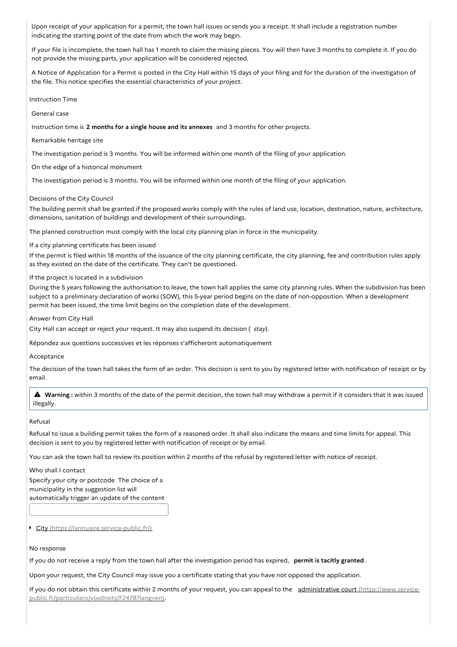Upon receipt of your application for a permit, the town hall issues or sends you a receipt. It shall include a registration number indicating the starting point of the date from which the work may begin.

If your file is incomplete, the town hall has 1 month to claim the missing pieces. You will then have 3 months to complete it. If you do not provide the missing parts, your application will be considered rejected.

A Notice of Application for a Permit is posted in the City Hall within 15 days of your filing and for the duration of the investigation of the file. This notice specifies the essential characteristics of your project.

Instruction Time

General case

Instruction time is **2 months for a single house and its annexes** and 3 months for other projects.

Remarkable heritage site

The investigation period is 3 months. You will be informed within one month of the filing of your application.

On the edge of a historical monument

The investigation period is 3 months. You will be informed within one month of the filing of your application.

## Decisions of the City Council

The building permit shall be granted if the proposed works comply with the rules of land use, location, destination, nature, architecture, dimensions, sanitation of buildings and development of their surroundings.

The planned construction must comply with the local city planning plan in force in the municipality.

If a city planning certificate has been issued

If the permit is filed within 18 months of the issuance of the city planning certificate, the city planning, fee and contribution rules apply as they existed on the date of the certificate. They can't be questioned.

If the project is located in a subdivision

During the 5 years following the authorisation to leave, the town hall applies the same city planning rules. When the subdivision has been subject to a preliminary declaration of works (SOW), this 5-year period begins on the date of non-opposition. When a development permit has been issued, the time limit begins on the completion date of the development.

Answer from City Hall

City Hall can accept or reject your request. It may also suspend its decision ( stay).

Répondez aux questions successives et les réponses s'afficheront automatiquement

## Acceptance

The decision of the town hall takes the form of an order. This decision is sent to you by registered letter with notification of receipt or by email.

 **Warning :** within <sup>3</sup> months of the date of the permit decision, the town hall may withdraw <sup>a</sup> permit if it considers that it was issued illegally.

## Refusal

Refusal to issue a building permit takes the form of a reasoned order. It shall also indicate the means and time limits for appeal. This decision is sent to you by registered letter with notification of receipt or by email.

You can ask the town hall to review its position within 2 months of the refusal by registered letter with notice of receipt.

#### Who shall I contact

Specify your city or postcode The choice of a municipality in the suggestion list will automatically trigger an update of the content

City [\(https://lannuaire.service-public.fr/\)](https://lannuaire.service-public.fr/)

#### No response

If you do not receive a reply from the town hall after the investigation period has expired, **permit is tacitly granted**.

Upon your request, the City Council may issue you a certificate stating that you have not opposed the application.

If you do not obtain this certificate within 2 months of your request, you can appeal to the administrative court (https://www.service[public.fr/particuliers/vosdroits/F2478?lang=en\).](https://www.service-public.fr/particuliers/vosdroits/F2478?lang=en)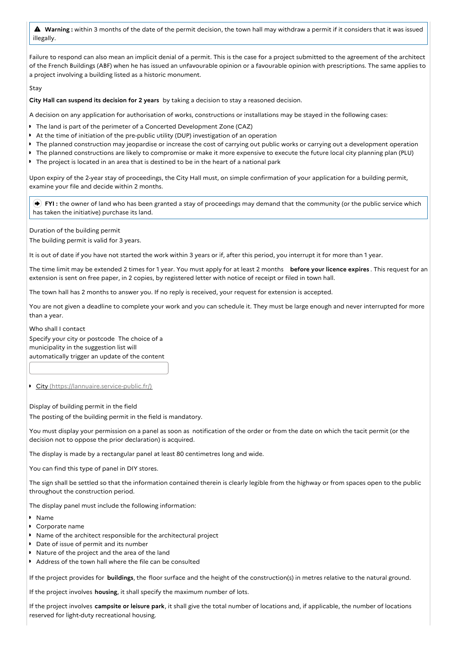**Warning :** within <sup>3</sup> months of the date of the permit decision, the town hall may withdraw <sup>a</sup> permit if it considers that it was issued illegally.

Failure to respond can also mean an implicit denial of a permit. This is the case for a project submitted to the agreement of the architect of the French Buildings (ABF) when he has issued an unfavourable opinion or a favourable opinion with prescriptions. The same applies to a project involving a building listed as a historic monument.

Stay

**City Hall can suspend its decision for 2 years** by taking a decision to stay a reasoned decision.

A decision on any application for authorisation of works, constructions or installations may be stayed in the following cases:

- The land is part of the perimeter of a Concerted Development Zone (CAZ)
- At the time of initiation of the pre-public utility (DUP) investigation of an operation  $\blacksquare$
- The planned construction may jeopardise or increase the cost of carrying out public works or carrying out a development operation
- The planned constructions are likely to compromise or make it more expensive to execute the future local city planning plan (PLU)
- The project is located in an area that is destined to be in the heart of a national park

Upon expiry of the 2-year stay of proceedings, the City Hall must, on simple confirmation of your application for a building permit, examine your file and decide within 2 months.

 **FYI :** the owner of land who has been granted a stay of proceedings may demand that the community (or the public service which has taken the initiative) purchase its land.

Duration of the building permit

The building permit is valid for 3 years.

It is out of date if you have not started the work within 3 years or if, after this period, you interrupt it for more than 1 year.

The time limit may be extended 2 times for 1 year. You must apply for at least 2 months **before your licence expires** . This request for an extension is sent on free paper, in 2 copies, by registered letter with notice of receipt or filed in town hall.

The town hall has 2 months to answer you. If no reply is received, your request for extension is accepted.

You are not given a deadline to complete your work and you can schedule it. They must be large enough and never interrupted for more than a year.

Who shall I contact

Specify your city or postcode The choice of a municipality in the suggestion list will automatically trigger an update of the content

City [\(https://lannuaire.service-public.fr/\)](https://lannuaire.service-public.fr/)

Display of building permit in the field The posting of the building permit in the field is mandatory.

You must display your permission on a panel as soon as notification of the order or from the date on which the tacit permit (or the decision not to oppose the prior declaration) is acquired.

The display is made by a rectangular panel at least 80 centimetres long and wide.

You can find this type of panel in DIY stores.

The sign shall be settled so that the information contained therein is clearly legible from the highway or from spaces open to the public throughout the construction period.

The display panel must include the following information:

- Name
- Corporate name
- Name of the architect responsible for the architectural project
- Date of issue of permit and its number
- Nature of the project and the area of the land
- Address of the town hall where the file can be consulted

If the project provides for **buildings**, the floor surface and the height of the construction(s) in metres relative to the natural ground.

If the project involves **housing**, it shall specify the maximum number of lots.

If the project involves **campsite or leisure park**, it shall give the total number of locations and, if applicable, the number of locations reserved for light-duty recreational housing.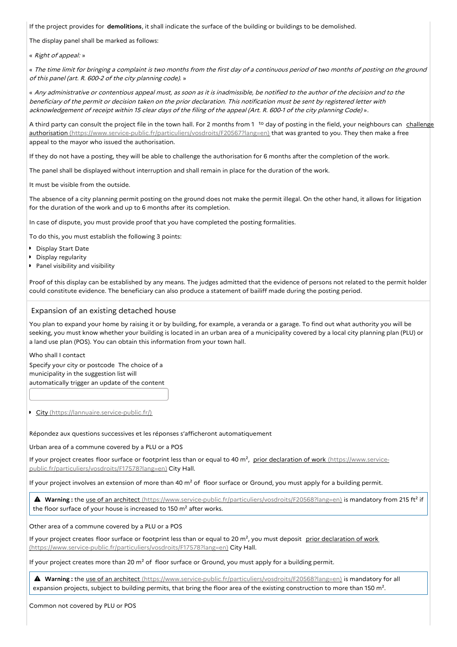If the project provides for **demolitions**, it shall indicate the surface of the building or buildings to be demolished.

The display panel shall be marked as follows:

« Right of appeal: »

« The time limit for bringing <sup>a</sup> complaint is two months from the first day of <sup>a</sup> continuous period of two months of posting on the ground of this panel (art. R. 600-2 of the city planning code). »

« Any administrative or contentious appeal must, as soon as it is inadmissible, be notified to the author of the decision and to the beneficiary of the permit or decision taken on the prior declaration. This notification must be sent by registered letter with acknowledgement of receipt within <sup>15</sup> clear days of the filing of the appeal (Art. R. 600-1 of the city planning Code) ».

A third party can consult the project file in the town hall. For 2 months from 1<sup>to</sup> day of posting in the field, your neighbours can challenge authorisation [\(https://www.service-public.fr/particuliers/vosdroits/F20567?lang=en\)](https://www.service-public.fr/particuliers/vosdroits/F20567?lang=en) that was granted to you. They then make a free appeal to the mayor who issued the authorisation.

If they do not have a posting, they will be able to challenge the authorisation for 6 months after the completion of the work.

The panel shall be displayed without interruption and shall remain in place for the duration of the work.

It must be visible from the outside.

The absence of a city planning permit posting on the ground does not make the permit illegal. On the other hand, it allows for litigation for the duration of the work and up to 6 months after its completion.

In case of dispute, you must provide proof that you have completed the posting formalities.

To do this, you must establish the following 3 points:

- **Display Start Date**
- **Display regularity**
- **Panel visibility and visibility**

Proof of this display can be established by any means. The judges admitted that the evidence of persons not related to the permit holder could constitute evidence. The beneficiary can also produce a statement of bailiff made during the posting period.

## Expansion of an existing detached house

You plan to expand your home by raising it or by building, for example, a veranda or a garage. To find out what authority you will be seeking, you must know whether your building is located in an urban area of a municipality covered by a local city planning plan (PLU) or a land use plan (POS). You can obtain this information from your town hall.

Who shall I contact

Specify your city or postcode The choice of a municipality in the suggestion list will automatically trigger an update of the content

City [\(https://lannuaire.service-public.fr/\)](https://lannuaire.service-public.fr/)

Répondez aux questions successives et les réponses s'afficheront automatiquement

Urban area of a commune covered by a PLU or a POS

If your project creates floor surface or footprint less than or equal to 40 m<sup>2</sup>, prior declaration of work (https://www.service[public.fr/particuliers/vosdroits/F17578?lang=en\)](https://www.service-public.fr/particuliers/vosdroits/F17578?lang=en) City Hall.

If your project involves an extension of more than 40  $m<sup>2</sup>$  of floor surface or Ground, you must apply for a building permit.

 **Warning :** the use of an architect [\(https://www.service-public.fr/particuliers/vosdroits/F20568?lang=en\)](https://www.service-public.fr/particuliers/vosdroits/F20568?lang=en) is mandatory from <sup>215</sup> ft² if the floor surface of your house is increased to 150 m<sup>2</sup> after works.

Other area of a commune covered by a PLU or a POS

If your project creates floor surface or footprint less than or equal to 20 m<sup>2</sup>, you must deposit prior declaration of work [\(https://www.service-public.fr/particuliers/vosdroits/F17578?lang=en\)](https://www.service-public.fr/particuliers/vosdroits/F17578?lang=en) City Hall.

If your project creates more than 20  $m^2$  of floor surface or Ground, you must apply for a building permit.

 **Warning :** the use of an architect [\(https://www.service-public.fr/particuliers/vosdroits/F20568?lang=en\)](https://www.service-public.fr/particuliers/vosdroits/F20568?lang=en) is mandatory for all expansion projects, subject to building permits, that bring the floor area of the existing construction to more than 150 m<sup>2</sup>.

Common not covered by PLU or POS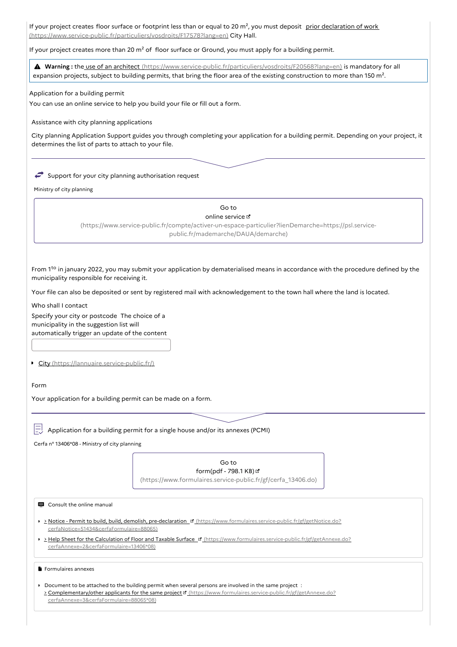If your project creates floor surface or footprint less than or equal to 20 m<sup>2</sup>, you must deposit prior declaration of work [\(https://www.service-public.fr/particuliers/vosdroits/F17578?lang=en\)](https://www.service-public.fr/particuliers/vosdroits/F17578?lang=en) City Hall.

If your project creates more than 20  $m<sup>2</sup>$  of floor surface or Ground, you must apply for a building permit.

 **Warning :** the use of an architect [\(https://www.service-public.fr/particuliers/vosdroits/F20568?lang=en\)](https://www.service-public.fr/particuliers/vosdroits/F20568?lang=en) is mandatory for all expansion projects, subject to building permits, that bring the floor area of the existing construction to more than 150 m<sup>2</sup>.

Application for a building permit

You can use an online service to help you build your file or fill out a form.

Assistance with city planning applications

City planning Application Support guides you through completing your application for a building permit. Depending on your project, it determines the list of parts to attach to your file.

 $\iff$  Support for your city planning authorisation request

Ministry of city planning

Go to online service [\(https://www.service-public.fr/compte/activer-un-espace-particulier?lienDemarche=https://psl.service](https://www.service-public.fr/compte/activer-un-espace-particulier?lienDemarche=https://psl.service-public.fr/mademarche/DAUA/demarche)public.fr/mademarche/DAUA/demarche)

From  $1<sup>to</sup>$  in january 2022, you may submit your application by dematerialised means in accordance with the procedure defined by the municipality responsible for receiving it.

Your file can also be deposited or sent by registered mail with acknowledgement to the town hall where the land is located.

Who shall I contact

Specify your city or postcode The choice of a municipality in the suggestion list will automatically trigger an update of the content

City [\(https://lannuaire.service-public.fr/\)](https://lannuaire.service-public.fr/)

Form

Your application for a building permit can be made on a form.

Application for a building permit for a single house and/or its annexes (PCMI)

Cerfa n° 13406\*08 - Ministry of city planning

## Go to form(pdf - 798.1 KB)

[\(https://www.formulaires.service-public.fr/gf/cerfa\\_13406.do\)](https://www.formulaires.service-public.fr/gf/cerfa_13406.do)

■ Consult the online manual

- > Notice Permit to build, build, demolish, pre-declaration <sup>of</sup> [\(https://www.formulaires.service-public.fr/gf/getNotice.do?](https://www.formulaires.service-public.fr/gf/getNotice.do?cerfaNotice=51434&cerfaFormulaire=88065) cerfaNotice=51434&cerfaFormulaire=88065)
- Help Sheet for the Calculation of Floor and Taxable Surface [\(https://www.formulaires.service-public.fr/gf/getAnnexe.do?](https://www.formulaires.service-public.fr/gf/getAnnexe.do?cerfaAnnexe=2&cerfaFormulaire=13406*08) cerfaAnnexe=2&cerfaFormulaire=13406\*08)

**F** Formulaires annexes

Document to be attached to the building permit when several persons are involved in the same project : > Complementary/other applicants for the same project d' [\(https://www.formulaires.service-public.fr/gf/getAnnexe.do?](https://www.formulaires.service-public.fr/gf/getAnnexe.do?cerfaAnnexe=3&cerfaFormulaire=88065*08) cerfaAnnexe=3&cerfaFormulaire=88065\*08)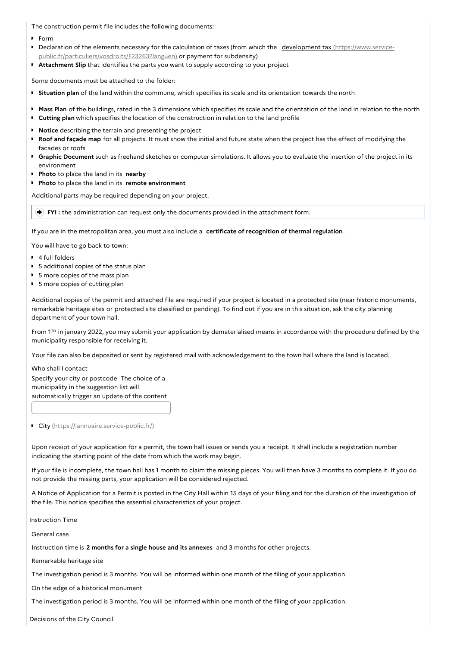The construction permit file includes the following documents:

- Form
- Declaration of the elements necessary for the calculation of taxes (from which the development tax (https://www.service- $\bullet$ [public.fr/particuliers/vosdroits/F23263?lang=en\)](https://www.service-public.fr/particuliers/vosdroits/F23263?lang=en) or payment for subdensity)
- **Attachment Slip** that identifies the parts you want to supply according to your project

Some documents must be attached to the folder:

- **Situation plan** of the land within the commune, which specifies its scale and its orientation towards the north
- **Mass Plan** of the buildings, rated in the 3 dimensions which specifies its scale and the orientation of the land in relation to the north
- **Cutting plan** which specifies the location of the construction in relation to the land profile  $\bullet$
- **Notice** describing the terrain and presenting the project
- **Roof and façade map** for all projects. It must show the initial and future state when the project has the effect of modifying the facades or roofs
- **Graphic Document** such as freehand sketches or computer simulations. It allows you to evaluate the insertion of the project in its environment
- **Photo** to place the land in its **nearby**
- **Photo** to place the land in its **remote environment**

Additional parts may be required depending on your project.

**FYI :** the administration can request only the documents provided in the attachment form.

If you are in the metropolitan area, you must also include a **certificate of recognition of thermal regulation**.

You will have to go back to town:

- 4 full folders
- 5 additional copies of the status plan
- **5** more copies of the mass plan
- **5** more copies of cutting plan

Additional copies of the permit and attached file are required if your project is located in a protected site (near historic monuments, remarkable heritage sites or protected site classified or pending). To find out if you are in this situation, ask the city planning department of your town hall.

From  $1<sup>to</sup>$  in january 2022, you may submit your application by dematerialised means in accordance with the procedure defined by the municipality responsible for receiving it.

Your file can also be deposited or sent by registered mail with acknowledgement to the town hall where the land is located.

Who shall I contact

Specify your city or postcode The choice of a municipality in the suggestion list will automatically trigger an update of the content

City [\(https://lannuaire.service-public.fr/\)](https://lannuaire.service-public.fr/)

Upon receipt of your application for a permit, the town hall issues or sends you a receipt. It shall include a registration number indicating the starting point of the date from which the work may begin.

If your file is incomplete, the town hall has 1 month to claim the missing pieces. You will then have 3 months to complete it. If you do not provide the missing parts, your application will be considered rejected.

A Notice of Application for a Permit is posted in the City Hall within 15 days of your filing and for the duration of the investigation of the file. This notice specifies the essential characteristics of your project.

Instruction Time

General case

Instruction time is **2 months for a single house and its annexes** and 3 months for other projects.

Remarkable heritage site

The investigation period is 3 months. You will be informed within one month of the filing of your application.

On the edge of a historical monument

The investigation period is 3 months. You will be informed within one month of the filing of your application.

Decisions of the City Council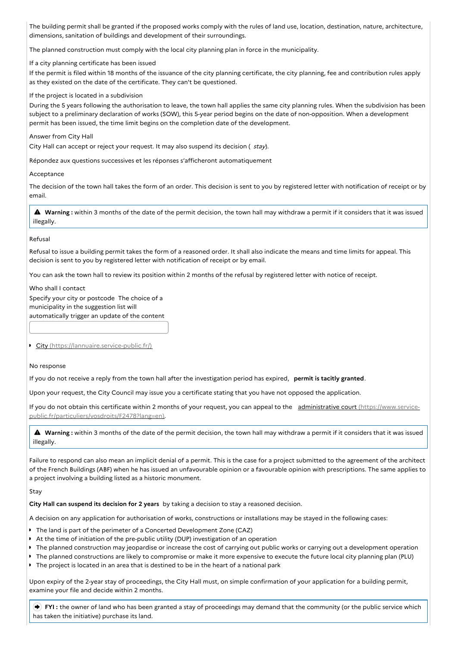The building permit shall be granted if the proposed works comply with the rules of land use, location, destination, nature, architecture, dimensions, sanitation of buildings and development of their surroundings.

The planned construction must comply with the local city planning plan in force in the municipality.

If a city planning certificate has been issued

If the permit is filed within 18 months of the issuance of the city planning certificate, the city planning, fee and contribution rules apply as they existed on the date of the certificate. They can't be questioned.

If the project is located in a subdivision

During the 5 years following the authorisation to leave, the town hall applies the same city planning rules. When the subdivision has been subject to a preliminary declaration of works (SOW), this 5-year period begins on the date of non-opposition. When a development permit has been issued, the time limit begins on the completion date of the development.

## Answer from City Hall

City Hall can accept or reject your request. It may also suspend its decision ( stay).

Répondez aux questions successives et les réponses s'afficheront automatiquement

Acceptance

The decision of the town hall takes the form of an order. This decision is sent to you by registered letter with notification of receipt or by email.

 **Warning :** within <sup>3</sup> months of the date of the permit decision, the town hall may withdraw <sup>a</sup> permit if it considers that it was issued illegally.

## Refusal

Refusal to issue a building permit takes the form of a reasoned order. It shall also indicate the means and time limits for appeal. This decision is sent to you by registered letter with notification of receipt or by email.

You can ask the town hall to review its position within 2 months of the refusal by registered letter with notice of receipt.

Who shall I contact Specify your city or postcode The choice of a municipality in the suggestion list will automatically trigger an update of the content

City [\(https://lannuaire.service-public.fr/\)](https://lannuaire.service-public.fr/)

#### No response

If you do not receive a reply from the town hall after the investigation period has expired, **permit is tacitly granted**.

Upon your request, the City Council may issue you a certificate stating that you have not opposed the application.

If you do not obtain this certificate within 2 months of your request, you can appeal to the administrative court (https://www.service[public.fr/particuliers/vosdroits/F2478?lang=en\).](https://www.service-public.fr/particuliers/vosdroits/F2478?lang=en)

 **Warning :** within <sup>3</sup> months of the date of the permit decision, the town hall may withdraw <sup>a</sup> permit if it considers that it was issued illegally.

Failure to respond can also mean an implicit denial of a permit. This is the case for a project submitted to the agreement of the architect of the French Buildings (ABF) when he has issued an unfavourable opinion or a favourable opinion with prescriptions. The same applies to a project involving a building listed as a historic monument.

#### Stay

**City Hall can suspend its decision for 2 years** by taking a decision to stay a reasoned decision.

A decision on any application for authorisation of works, constructions or installations may be stayed in the following cases:

- The land is part of the perimeter of a Concerted Development Zone (CAZ)
- At the time of initiation of the pre-public utility (DUP) investigation of an operation
- The planned construction may jeopardise or increase the cost of carrying out public works or carrying out a development operation
- The planned constructions are likely to compromise or make it more expensive to execute the future local city planning plan (PLU)
- The project is located in an area that is destined to be in the heart of a national park

Upon expiry of the 2-year stay of proceedings, the City Hall must, on simple confirmation of your application for a building permit, examine your file and decide within 2 months.

 **FYI :** the owner of land who has been granted a stay of proceedings may demand that the community (or the public service which has taken the initiative) purchase its land.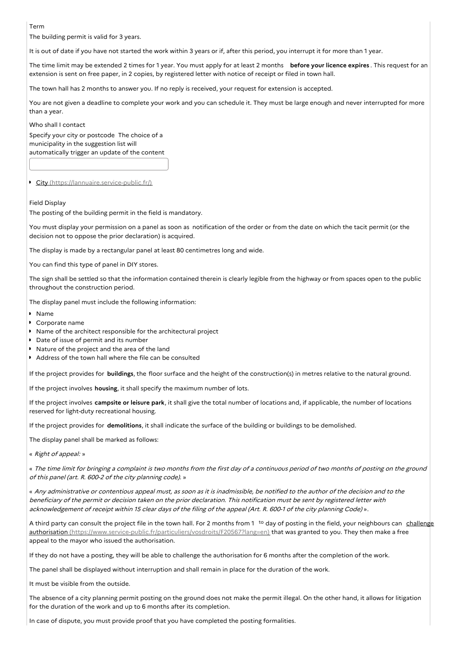Term

The building permit is valid for 3 years.

It is out of date if you have not started the work within 3 years or if, after this period, you interrupt it for more than 1 year.

The time limit may be extended 2 times for 1 year. You must apply for at least 2 months **before your licence expires** . This request for an extension is sent on free paper, in 2 copies, by registered letter with notice of receipt or filed in town hall.

The town hall has 2 months to answer you. If no reply is received, your request for extension is accepted.

You are not given a deadline to complete your work and you can schedule it. They must be large enough and never interrupted for more than a year.

Who shall I contact

Specify your city or postcode The choice of a municipality in the suggestion list will automatically trigger an update of the content

City [\(https://lannuaire.service-public.fr/\)](https://lannuaire.service-public.fr/)

## Field Display

The posting of the building permit in the field is mandatory.

You must display your permission on a panel as soon as notification of the order or from the date on which the tacit permit (or the decision not to oppose the prior declaration) is acquired.

The display is made by a rectangular panel at least 80 centimetres long and wide.

You can find this type of panel in DIY stores.

The sign shall be settled so that the information contained therein is clearly legible from the highway or from spaces open to the public throughout the construction period.

The display panel must include the following information:

- Name
- Corporate name
- Name of the architect responsible for the architectural project
- Date of issue of permit and its number
- Nature of the project and the area of the land
- Address of the town hall where the file can be consulted

If the project provides for **buildings**, the floor surface and the height of the construction(s) in metres relative to the natural ground.

If the project involves **housing**, it shall specify the maximum number of lots.

If the project involves **campsite or leisure park**, it shall give the total number of locations and, if applicable, the number of locations reserved for light-duty recreational housing.

If the project provides for **demolitions**, it shall indicate the surface of the building or buildings to be demolished.

The display panel shall be marked as follows:

« Right of appeal: »

« The time limit for bringing <sup>a</sup> complaint is two months from the first day of <sup>a</sup> continuous period of two months of posting on the ground of this panel (art. R. 600-2 of the city planning code). »

« Any administrative or contentious appeal must, as soon as it is inadmissible, be notified to the author of the decision and to the beneficiary of the permit or decision taken on the prior declaration. This notification must be sent by registered letter with acknowledgement of receipt within <sup>15</sup> clear days of the filing of the appeal (Art. R. 600-1 of the city planning Code) ».

A third party can consult the project file in the town hall. For 2 months from 1<sup>to</sup> day of posting in the field, your neighbours can challenge authorisation [\(https://www.service-public.fr/particuliers/vosdroits/F20567?lang=en\)](https://www.service-public.fr/particuliers/vosdroits/F20567?lang=en) that was granted to you. They then make a free appeal to the mayor who issued the authorisation.

If they do not have a posting, they will be able to challenge the authorisation for 6 months after the completion of the work.

The panel shall be displayed without interruption and shall remain in place for the duration of the work.

It must be visible from the outside.

The absence of a city planning permit posting on the ground does not make the permit illegal. On the other hand, it allows for litigation for the duration of the work and up to 6 months after its completion.

In case of dispute, you must provide proof that you have completed the posting formalities.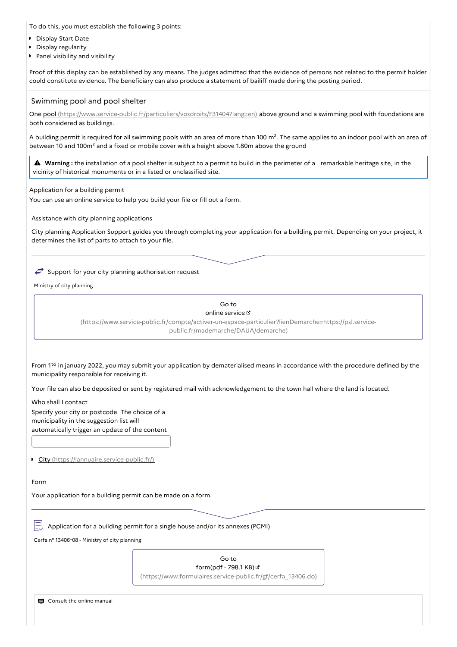To do this, you must establish the following 3 points:

- **Display Start Date**
- Display regularity  $\mathbf{r}$
- **Panel visibility and visibility**

Proof of this display can be established by any means. The judges admitted that the evidence of persons not related to the permit holder could constitute evidence. The beneficiary can also produce a statement of bailiff made during the posting period.

## Swimming pool and pool shelter

One pool [\(https://www.service-public.fr/particuliers/vosdroits/F31404?lang=en\)](https://www.service-public.fr/particuliers/vosdroits/F31404?lang=en) above ground and a swimming pool with foundations are both considered as buildings.

A building permit is required for all swimming pools with an area of more than 100  $m^2$ . The same applies to an indoor pool with an area of between 10 and 100m<sup>2</sup> and a fixed or mobile cover with a height above 1.80m above the ground

 **Warning :** the installation of <sup>a</sup> pool shelter is subject to <sup>a</sup> permit to build in the perimeter of <sup>a</sup> remarkable heritage site, in the vicinity of historical monuments or in a listed or unclassified site.

Application for a building permit

You can use an online service to help you build your file or fill out a form.

Assistance with city planning applications

City planning Application Support guides you through completing your application for a building permit. Depending on your project, it determines the list of parts to attach to your file.

 $\rightarrow$  Support for your city planning authorisation request

Ministry of city planning

Go to online service  $\mathbb E$ 

[\(https://www.service-public.fr/compte/activer-un-espace-particulier?lienDemarche=https://psl.service](https://www.service-public.fr/compte/activer-un-espace-particulier?lienDemarche=https://psl.service-public.fr/mademarche/DAUA/demarche)public.fr/mademarche/DAUA/demarche)

From  $1<sup>to</sup>$  in january 2022, you may submit your application by dematerialised means in accordance with the procedure defined by the municipality responsible for receiving it.

Your file can also be deposited or sent by registered mail with acknowledgement to the town hall where the land is located.

Who shall I contact Specify your city or postcode The choice of a municipality in the suggestion list will automatically trigger an update of the content

City [\(https://lannuaire.service-public.fr/\)](https://lannuaire.service-public.fr/)

Form

Your application for a building permit can be made on a form.

Application for a building permit for a single house and/or its annexes (PCMI)

Cerfa n° 13406\*08 - Ministry of city planning

Go to form(pdf - 798.1 KB) [\(https://www.formulaires.service-public.fr/gf/cerfa\\_13406.do\)](https://www.formulaires.service-public.fr/gf/cerfa_13406.do)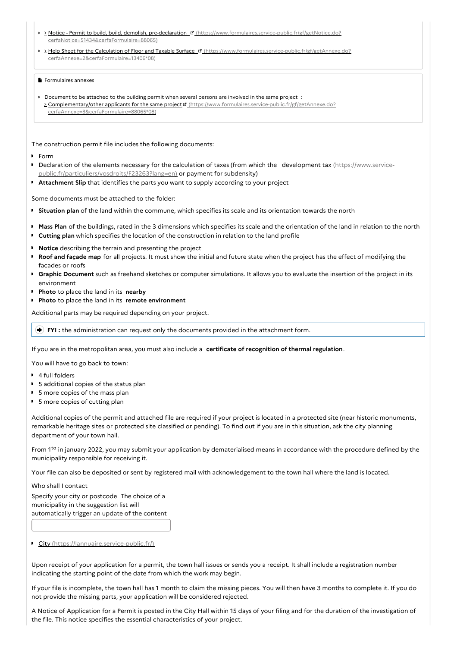- 2 Notice Permit to build, build, demolish, pre-declaration <sup>1</sup> [\(https://www.formulaires.service-public.fr/gf/getNotice.do?](https://www.formulaires.service-public.fr/gf/getNotice.do?cerfaNotice=51434&cerfaFormulaire=88065) cerfaNotice=51434&cerfaFormulaire=88065)
- **Help Sheet for the Calculation of Floor and Taxable Surface & [\(https://www.formulaires.service-public.fr/gf/getAnnexe.do?](https://www.formulaires.service-public.fr/gf/getAnnexe.do?cerfaAnnexe=2&cerfaFormulaire=13406*08)** cerfaAnnexe=2&cerfaFormulaire=13406\*08)

## Formulaires annexes

Document to be attached to the building permit when several persons are involved in the same project : > Complementary/other applicants for the same project of [\(https://www.formulaires.service-public.fr/gf/getAnnexe.do?](https://www.formulaires.service-public.fr/gf/getAnnexe.do?cerfaAnnexe=3&cerfaFormulaire=88065*08) cerfaAnnexe=3&cerfaFormulaire=88065\*08)

The construction permit file includes the following documents:

#### Form

- Declaration of the elements necessary for the calculation of taxes (from which the development tax (https://www.service- $\mathbf{r}$ [public.fr/particuliers/vosdroits/F23263?lang=en\)](https://www.service-public.fr/particuliers/vosdroits/F23263?lang=en) or payment for subdensity)
- $\bullet$ **Attachment Slip** that identifies the parts you want to supply according to your project

Some documents must be attached to the folder:

- **Situation plan** of the land within the commune, which specifies its scale and its orientation towards the north
- **Mass Plan** of the buildings, rated in the 3 dimensions which specifies its scale and the orientation of the land in relation to the north
- **Cutting plan** which specifies the location of the construction in relation to the land profile
- **Notice** describing the terrain and presenting the project
- **Roof and façade map** for all projects. It must show the initial and future state when the project has the effect of modifying the facades or roofs
- **Graphic Document** such as freehand sketches or computer simulations. It allows you to evaluate the insertion of the project in its environment
- **Photo** to place the land in its **nearby**
- **Photo** to place the land in its **remote environment**

Additional parts may be required depending on your project.

**FYI :** the administration can request only the documents provided in the attachment form.

If you are in the metropolitan area, you must also include a **certificate of recognition of thermal regulation**.

You will have to go back to town:

- 4 full folders
- $\overline{\phantom{a}}$ 5 additional copies of the status plan
- **5** more copies of the mass plan
- **5** more copies of cutting plan

Additional copies of the permit and attached file are required if your project is located in a protected site (near historic monuments, remarkable heritage sites or protected site classified or pending). To find out if you are in this situation, ask the city planning department of your town hall.

From  $1<sup>to</sup>$  in january 2022, you may submit your application by dematerialised means in accordance with the procedure defined by the municipality responsible for receiving it.

Your file can also be deposited or sent by registered mail with acknowledgement to the town hall where the land is located.

Who shall I contact

Specify your city or postcode The choice of a municipality in the suggestion list will automatically trigger an update of the content

City [\(https://lannuaire.service-public.fr/\)](https://lannuaire.service-public.fr/)

Upon receipt of your application for a permit, the town hall issues or sends you a receipt. It shall include a registration number indicating the starting point of the date from which the work may begin.

If your file is incomplete, the town hall has 1 month to claim the missing pieces. You will then have 3 months to complete it. If you do not provide the missing parts, your application will be considered rejected.

A Notice of Application for a Permit is posted in the City Hall within 15 days of your filing and for the duration of the investigation of the file. This notice specifies the essential characteristics of your project.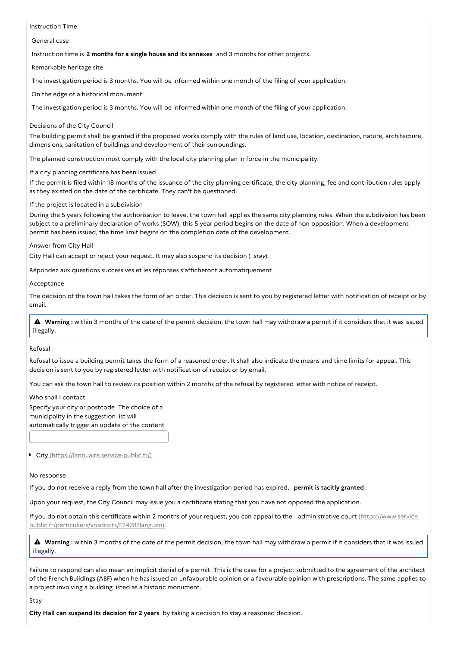Instruction Time

General case

Instruction time is **2 months for a single house and its annexes** and 3 months for other projects.

Remarkable heritage site

The investigation period is 3 months. You will be informed within one month of the filing of your application.

On the edge of a historical monument

The investigation period is 3 months. You will be informed within one month of the filing of your application.

Decisions of the City Council

The building permit shall be granted if the proposed works comply with the rules of land use, location, destination, nature, architecture, dimensions, sanitation of buildings and development of their surroundings.

The planned construction must comply with the local city planning plan in force in the municipality.

If a city planning certificate has been issued

If the permit is filed within 18 months of the issuance of the city planning certificate, the city planning, fee and contribution rules apply as they existed on the date of the certificate. They can't be questioned.

If the project is located in a subdivision

During the 5 years following the authorisation to leave, the town hall applies the same city planning rules. When the subdivision has been subject to a preliminary declaration of works (SOW), this 5-year period begins on the date of non-opposition. When a development permit has been issued, the time limit begins on the completion date of the development.

## Answer from City Hall

City Hall can accept or reject your request. It may also suspend its decision ( stay).

Répondez aux questions successives et les réponses s'afficheront automatiquement

Acceptance

The decision of the town hall takes the form of an order. This decision is sent to you by registered letter with notification of receipt or by email.

 **Warning :** within <sup>3</sup> months of the date of the permit decision, the town hall may withdraw <sup>a</sup> permit if it considers that it was issued illegally.

#### Refusal

Refusal to issue a building permit takes the form of a reasoned order. It shall also indicate the means and time limits for appeal. This decision is sent to you by registered letter with notification of receipt or by email.

You can ask the town hall to review its position within 2 months of the refusal by registered letter with notice of receipt.

Who shall I contact

Specify your city or postcode The choice of a municipality in the suggestion list will automatically trigger an update of the content

City [\(https://lannuaire.service-public.fr/\)](https://lannuaire.service-public.fr/)

## No response

If you do not receive a reply from the town hall after the investigation period has expired, **permit is tacitly granted**.

Upon your request, the City Council may issue you a certificate stating that you have not opposed the application.

If you do not obtain this certificate within 2 months of your request, you can appeal to the administrative court (https://www.service[public.fr/particuliers/vosdroits/F2478?lang=en\).](https://www.service-public.fr/particuliers/vosdroits/F2478?lang=en)

 **Warning :** within <sup>3</sup> months of the date of the permit decision, the town hall may withdraw <sup>a</sup> permit if it considers that it was issued illegally.

Failure to respond can also mean an implicit denial of a permit. This is the case for a project submitted to the agreement of the architect of the French Buildings (ABF) when he has issued an unfavourable opinion or a favourable opinion with prescriptions. The same applies to a project involving a building listed as a historic monument.

## Stay

**City Hall can suspend its decision for 2 years** by taking a decision to stay a reasoned decision.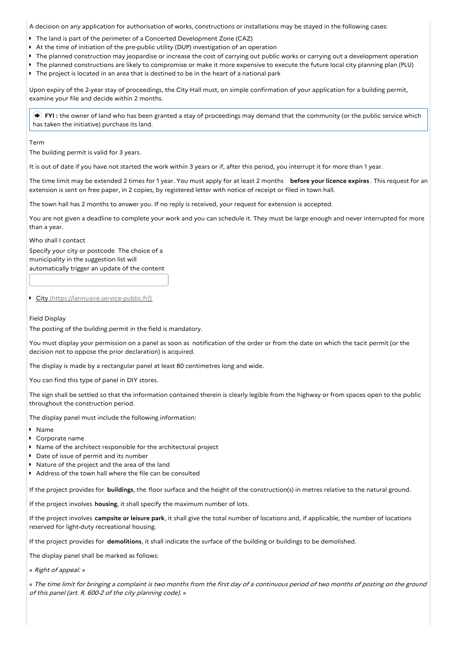A decision on any application for authorisation of works, constructions or installations may be stayed in the following cases:

- The land is part of the perimeter of a Concerted Development Zone (CAZ)
- b. At the time of initiation of the pre-public utility (DUP) investigation of an operation
- $\ddot{\phantom{a}}$ The planned construction may jeopardise or increase the cost of carrying out public works or carrying out a development operation
- The planned constructions are likely to compromise or make it more expensive to execute the future local city planning plan (PLU)
- The project is located in an area that is destined to be in the heart of a national park

Upon expiry of the 2-year stay of proceedings, the City Hall must, on simple confirmation of your application for a building permit, examine your file and decide within 2 months.

 **FYI :** the owner of land who has been granted a stay of proceedings may demand that the community (or the public service which has taken the initiative) purchase its land.

Term

The building permit is valid for 3 years.

It is out of date if you have not started the work within 3 years or if, after this period, you interrupt it for more than 1 year.

The time limit may be extended 2 times for 1 year. You must apply for at least 2 months **before your licence expires** . This request for an extension is sent on free paper, in 2 copies, by registered letter with notice of receipt or filed in town hall.

The town hall has 2 months to answer you. If no reply is received, your request for extension is accepted.

You are not given a deadline to complete your work and you can schedule it. They must be large enough and never interrupted for more than a year.

Who shall I contact

Specify your city or postcode The choice of a municipality in the suggestion list will automatically trigger an update of the content

City [\(https://lannuaire.service-public.fr/\)](https://lannuaire.service-public.fr/)

## Field Display

The posting of the building permit in the field is mandatory.

You must display your permission on a panel as soon as notification of the order or from the date on which the tacit permit (or the decision not to oppose the prior declaration) is acquired.

The display is made by a rectangular panel at least 80 centimetres long and wide.

You can find this type of panel in DIY stores.

The sign shall be settled so that the information contained therein is clearly legible from the highway or from spaces open to the public throughout the construction period.

The display panel must include the following information:

- Name
- Corporate name
- Name of the architect responsible for the architectural project
- Date of issue of permit and its number
- Nature of the project and the area of the land
- Address of the town hall where the file can be consulted

If the project provides for **buildings**, the floor surface and the height of the construction(s) in metres relative to the natural ground.

If the project involves **housing**, it shall specify the maximum number of lots.

If the project involves **campsite or leisure park**, it shall give the total number of locations and, if applicable, the number of locations reserved for light-duty recreational housing.

If the project provides for **demolitions**, it shall indicate the surface of the building or buildings to be demolished.

The display panel shall be marked as follows:

« Right of appeal: »

« The time limit for bringing <sup>a</sup> complaint is two months from the first day of <sup>a</sup> continuous period of two months of posting on the ground of this panel (art. R. 600-2 of the city planning code). »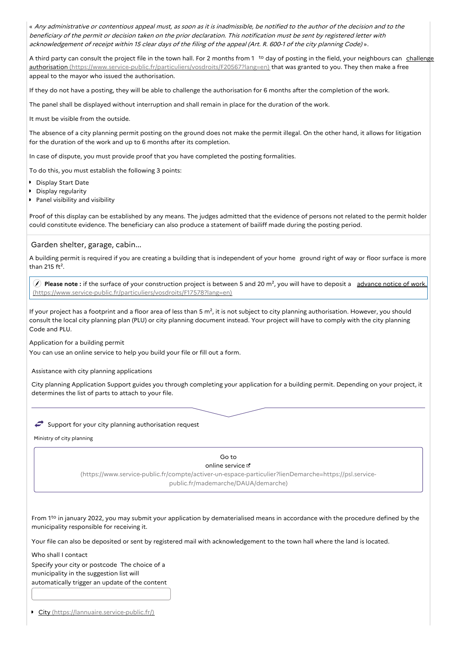« Any administrative or contentious appeal must, as soon as it is inadmissible, be notified to the author of the decision and to the beneficiary of the permit or decision taken on the prior declaration. This notification must be sent by registered letter with acknowledgement of receipt within <sup>15</sup> clear days of the filing of the appeal (Art. R. 600-1 of the city planning Code) ».

A third party can consult the project file in the town hall. For 2 months from 1<sup>to</sup> day of posting in the field, your neighbours can challenge authorisation [\(https://www.service-public.fr/particuliers/vosdroits/F20567?lang=en\)](https://www.service-public.fr/particuliers/vosdroits/F20567?lang=en) that was granted to you. They then make a free appeal to the mayor who issued the authorisation.

If they do not have a posting, they will be able to challenge the authorisation for 6 months after the completion of the work.

The panel shall be displayed without interruption and shall remain in place for the duration of the work.

It must be visible from the outside.

The absence of a city planning permit posting on the ground does not make the permit illegal. On the other hand, it allows for litigation for the duration of the work and up to 6 months after its completion.

In case of dispute, you must provide proof that you have completed the posting formalities.

To do this, you must establish the following 3 points:

- **Display Start Date**
- **Display regularity**
- **Panel visibility and visibility**

Proof of this display can be established by any means. The judges admitted that the evidence of persons not related to the permit holder could constitute evidence. The beneficiary can also produce a statement of bailiff made during the posting period.

## Garden shelter, garage, cabin...

A building permit is required if you are creating a building that is independent of your home ground right of way or floor surface is more than 215  $ft^2$ .

**Please note** : if the surface of your construction project is between 5 and 20 m<sup>2</sup>, you will have to deposit a advance notice of work. [\(https://www.service-public.fr/particuliers/vosdroits/F17578?lang=en\)](https://www.service-public.fr/particuliers/vosdroits/F17578?lang=en)

If your project has a footprint and a floor area of less than 5  $m^2$ , it is not subject to city planning authorisation. However, you should consult the local city planning plan (PLU) or city planning document instead. Your project will have to comply with the city planning Code and PLU.

Application for a building permit

You can use an online service to help you build your file or fill out a form.

## Assistance with city planning applications

City planning Application Support guides you through completing your application for a building permit. Depending on your project, it determines the list of parts to attach to your file.

## $\rightarrow$  Support for your city planning authorisation request

Ministry of city planning

#### Go to

#### online service

[\(https://www.service-public.fr/compte/activer-un-espace-particulier?lienDemarche=https://psl.service](https://www.service-public.fr/compte/activer-un-espace-particulier?lienDemarche=https://psl.service-public.fr/mademarche/DAUA/demarche)public.fr/mademarche/DAUA/demarche)

From  $1<sup>to</sup>$  in january 2022, you may submit your application by dematerialised means in accordance with the procedure defined by the municipality responsible for receiving it.

Your file can also be deposited or sent by registered mail with acknowledgement to the town hall where the land is located.

Who shall I contact Specify your city or postcode The choice of a municipality in the suggestion list will automatically trigger an update of the content

City [\(https://lannuaire.service-public.fr/\)](https://lannuaire.service-public.fr/)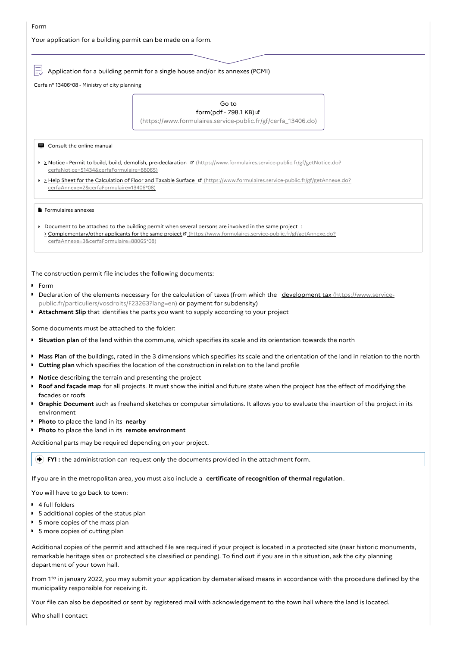Your application for a building permit can be made on a form.

Application for a building permit for a single house and/or its annexes (PCMI)

Cerfa n° 13406\*08 - Ministry of city planning

#### Go to form(pdf - 798.1 KB)

[\(https://www.formulaires.service-public.fr/gf/cerfa\\_13406.do\)](https://www.formulaires.service-public.fr/gf/cerfa_13406.do)

Consult the online manual

- Notice Permit to build, build, demolish, pre-declaration [\(https://www.formulaires.service-public.fr/gf/getNotice.do?](https://www.formulaires.service-public.fr/gf/getNotice.do?cerfaNotice=51434&cerfaFormulaire=88065) cerfaNotice=51434&cerfaFormulaire=88065)
- **Help Sheet for the Calculation of Floor and Taxable Surface & [\(https://www.formulaires.service-public.fr/gf/getAnnexe.do?](https://www.formulaires.service-public.fr/gf/getAnnexe.do?cerfaAnnexe=2&cerfaFormulaire=13406*08)** cerfaAnnexe=2&cerfaFormulaire=13406\*08)

**F** Formulaires annexes

Document to be attached to the building permit when several persons are involved in the same project: > Complementary/other applicants for the same project of [\(https://www.formulaires.service-public.fr/gf/getAnnexe.do?](https://www.formulaires.service-public.fr/gf/getAnnexe.do?cerfaAnnexe=3&cerfaFormulaire=88065*08) cerfaAnnexe=3&cerfaFormulaire=88065\*08)

The construction permit file includes the following documents:

Form

- Declaration of the elements necessary for the calculation of taxes (from which the development tax (https://www.service- $\bullet$ [public.fr/particuliers/vosdroits/F23263?lang=en\)](https://www.service-public.fr/particuliers/vosdroits/F23263?lang=en) or payment for subdensity)
- **Attachment Slip** that identifies the parts you want to supply according to your project

Some documents must be attached to the folder:

- **Situation plan** of the land within the commune, which specifies its scale and its orientation towards the north
- **Mass Plan** of the buildings, rated in the 3 dimensions which specifies its scale and the orientation of the land in relation to the north
- **Cutting plan** which specifies the location of the construction in relation to the land profile
- **Notice** describing the terrain and presenting the project
- **Roof and façade map** for all projects. It must show the initial and future state when the project has the effect of modifying the facades or roofs
- **Graphic Document** such as freehand sketches or computer simulations. It allows you to evaluate the insertion of the project in its environment
- **Photo** to place the land in its **nearby**
- **Photo** to place the land in its **remote environment**

Additional parts may be required depending on your project.

**FYI :** the administration can request only the documents provided in the attachment form.

If you are in the metropolitan area, you must also include a **certificate of recognition of thermal regulation**.

You will have to go back to town:

- 4 full folders
- $\ddot{\phantom{a}}$ 5 additional copies of the status plan
- **5** more copies of the mass plan
- **5** more copies of cutting plan

Additional copies of the permit and attached file are required if your project is located in a protected site (near historic monuments, remarkable heritage sites or protected site classified or pending). To find out if you are in this situation, ask the city planning department of your town hall.

From  $1<sup>to</sup>$  in january 2022, you may submit your application by dematerialised means in accordance with the procedure defined by the municipality responsible for receiving it.

Your file can also be deposited or sent by registered mail with acknowledgement to the town hall where the land is located.

Who shall Lcontact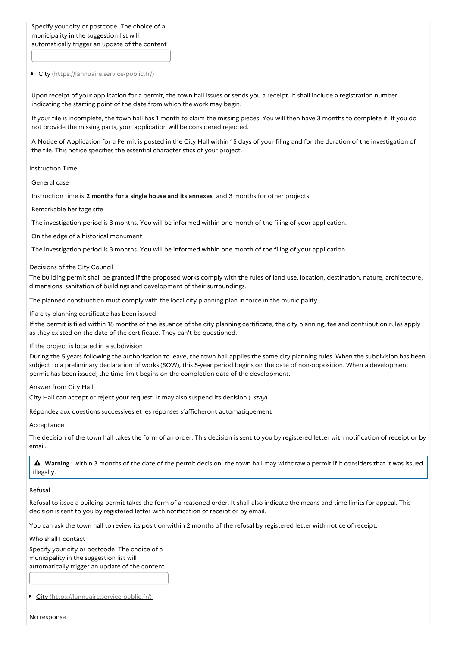Specify your city or postcode The choice of a municipality in the suggestion list will automatically trigger an update of the content

City [\(https://lannuaire.service-public.fr/\)](https://lannuaire.service-public.fr/)

Upon receipt of your application for a permit, the town hall issues or sends you a receipt. It shall include a registration number indicating the starting point of the date from which the work may begin.

If your file is incomplete, the town hall has 1 month to claim the missing pieces. You will then have 3 months to complete it. If you do not provide the missing parts, your application will be considered rejected.

A Notice of Application for a Permit is posted in the City Hall within 15 days of your filing and for the duration of the investigation of the file. This notice specifies the essential characteristics of your project.

Instruction Time

General case

Instruction time is **2 months for a single house and its annexes** and 3 months for other projects.

Remarkable heritage site

The investigation period is 3 months. You will be informed within one month of the filing of your application.

On the edge of a historical monument

The investigation period is 3 months. You will be informed within one month of the filing of your application.

Decisions of the City Council

The building permit shall be granted if the proposed works comply with the rules of land use, location, destination, nature, architecture, dimensions, sanitation of buildings and development of their surroundings.

The planned construction must comply with the local city planning plan in force in the municipality.

If a city planning certificate has been issued

If the permit is filed within 18 months of the issuance of the city planning certificate, the city planning, fee and contribution rules apply as they existed on the date of the certificate. They can't be questioned.

If the project is located in a subdivision

During the 5 years following the authorisation to leave, the town hall applies the same city planning rules. When the subdivision has been subject to a preliminary declaration of works (SOW), this 5-year period begins on the date of non-opposition. When a development permit has been issued, the time limit begins on the completion date of the development.

Answer from City Hall

City Hall can accept or reject your request. It may also suspend its decision ( stay).

Répondez aux questions successives et les réponses s'afficheront automatiquement

Acceptance

The decision of the town hall takes the form of an order. This decision is sent to you by registered letter with notification of receipt or by email.

 **Warning :** within <sup>3</sup> months of the date of the permit decision, the town hall may withdraw <sup>a</sup> permit if it considers that it was issued illegally.

Refusal

Refusal to issue a building permit takes the form of a reasoned order. It shall also indicate the means and time limits for appeal. This decision is sent to you by registered letter with notification of receipt or by email.

You can ask the town hall to review its position within 2 months of the refusal by registered letter with notice of receipt.

Who shall I contact

Specify your city or postcode The choice of a municipality in the suggestion list will automatically trigger an update of the content

City [\(https://lannuaire.service-public.fr/\)](https://lannuaire.service-public.fr/)

No response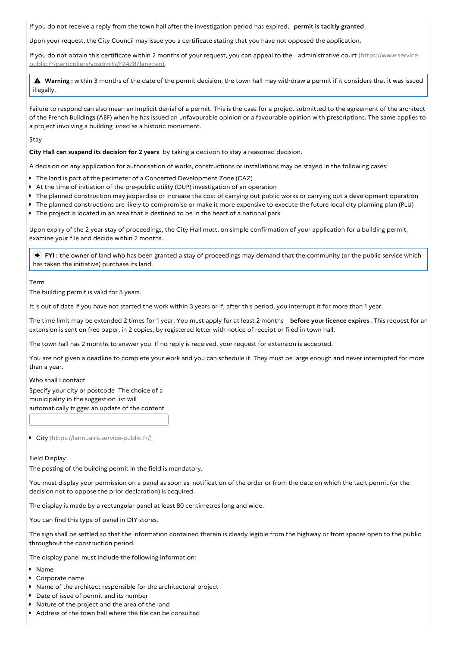If you do not receive a reply from the town hall after the investigation period has expired, **permit is tacitly granted**.

Upon your request, the City Council may issue you a certificate stating that you have not opposed the application.

If you do not obtain this certificate within 2 months of your request, you can appeal to the administrative court (https://www.service[public.fr/particuliers/vosdroits/F2478?lang=en\).](https://www.service-public.fr/particuliers/vosdroits/F2478?lang=en)

 **Warning :** within <sup>3</sup> months of the date of the permit decision, the town hall may withdraw <sup>a</sup> permit if it considers that it was issued illegally.

Failure to respond can also mean an implicit denial of a permit. This is the case for a project submitted to the agreement of the architect of the French Buildings (ABF) when he has issued an unfavourable opinion or a favourable opinion with prescriptions. The same applies to a project involving a building listed as a historic monument.

Stay

**City Hall can suspend its decision for 2 years** by taking a decision to stay a reasoned decision.

A decision on any application for authorisation of works, constructions or installations may be stayed in the following cases:

- The land is part of the perimeter of a Concerted Development Zone (CAZ)
- At the time of initiation of the pre-public utility (DUP) investigation of an operation
- The planned construction may jeopardise or increase the cost of carrying out public works or carrying out a development operation
- The planned constructions are likely to compromise or make it more expensive to execute the future local city planning plan (PLU)
- The project is located in an area that is destined to be in the heart of a national park

Upon expiry of the 2-year stay of proceedings, the City Hall must, on simple confirmation of your application for a building permit, examine your file and decide within 2 months.

 **FYI :** the owner of land who has been granted a stay of proceedings may demand that the community (or the public service which has taken the initiative) purchase its land.

Term

The building permit is valid for 3 years.

It is out of date if you have not started the work within 3 years or if, after this period, you interrupt it for more than 1 year.

The time limit may be extended 2 times for 1 year. You must apply for at least 2 months **before your licence expires** . This request for an extension is sent on free paper, in 2 copies, by registered letter with notice of receipt or filed in town hall.

The town hall has 2 months to answer you. If no reply is received, your request for extension is accepted.

You are not given a deadline to complete your work and you can schedule it. They must be large enough and never interrupted for more than a year.

Who shall I contact

Specify your city or postcode The choice of a municipality in the suggestion list will automatically trigger an update of the content

City [\(https://lannuaire.service-public.fr/\)](https://lannuaire.service-public.fr/)

Field Display

The posting of the building permit in the field is mandatory.

You must display your permission on a panel as soon as notification of the order or from the date on which the tacit permit (or the decision not to oppose the prior declaration) is acquired.

The display is made by a rectangular panel at least 80 centimetres long and wide.

You can find this type of panel in DIY stores.

The sign shall be settled so that the information contained therein is clearly legible from the highway or from spaces open to the public throughout the construction period.

The display panel must include the following information:

- Name
- Corporate name
- Name of the architect responsible for the architectural project
- Date of issue of permit and its number
- Nature of the project and the area of the land
- Address of the town hall where the file can be consulted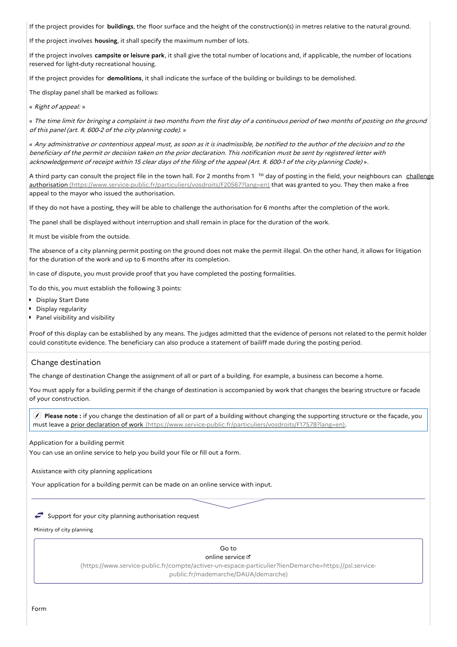If the project provides for **buildings**, the floor surface and the height of the construction(s) in metres relative to the natural ground.

If the project involves **housing**, it shall specify the maximum number of lots.

If the project involves **campsite or leisure park**, it shall give the total number of locations and, if applicable, the number of locations reserved for light-duty recreational housing.

If the project provides for **demolitions**, it shall indicate the surface of the building or buildings to be demolished.

The display panel shall be marked as follows:

« Right of appeal: »

« The time limit for bringing a complaint is two months from the first day of a continuous period of two months of posting on the ground of this panel (art. R. 600-2 of the city planning code). »

« Any administrative or contentious appeal must, as soon as it is inadmissible, be notified to the author of the decision and to the beneficiary of the permit or decision taken on the prior declaration. This notification must be sent by registered letter with acknowledgement of receipt within <sup>15</sup> clear days of the filing of the appeal (Art. R. 600-1 of the city planning Code) ».

A third party can consult the project file in the town hall. For 2 months from 1<sup>to</sup> day of posting in the field, your neighbours can challenge authorisation [\(https://www.service-public.fr/particuliers/vosdroits/F20567?lang=en\)](https://www.service-public.fr/particuliers/vosdroits/F20567?lang=en) that was granted to you. They then make a free appeal to the mayor who issued the authorisation.

If they do not have a posting, they will be able to challenge the authorisation for 6 months after the completion of the work.

The panel shall be displayed without interruption and shall remain in place for the duration of the work.

It must be visible from the outside.

The absence of a city planning permit posting on the ground does not make the permit illegal. On the other hand, it allows for litigation for the duration of the work and up to 6 months after its completion.

In case of dispute, you must provide proof that you have completed the posting formalities.

To do this, you must establish the following 3 points:

- **Display Start Date**
- **Display regularity**
- **Panel visibility and visibility**

Proof of this display can be established by any means. The judges admitted that the evidence of persons not related to the permit holder could constitute evidence. The beneficiary can also produce a statement of bailiff made during the posting period.

## Change destination

The change of destination Change the assignment of all or part of a building. For example, a business can become a home.

You must apply for a building permit if the change of destination is accompanied by work that changes the bearing structure or facade of your construction.

 **Please note :** if you change the destination of all or part of a building without changing the supporting structure or the façade, you must leave a prior declaration of work [\(https://www.service-public.fr/particuliers/vosdroits/F17578?lang=en\)](https://www.service-public.fr/particuliers/vosdroits/F17578?lang=en).

Application for a building permit

You can use an online service to help you build your file or fill out a form.

Assistance with city planning applications

Your application for a building permit can be made on an online service with input.

## $\iff$  Support for your city planning authorisation request

Ministry of city planning

# Go to

online service

[\(https://www.service-public.fr/compte/activer-un-espace-particulier?lienDemarche=https://psl.service](https://www.service-public.fr/compte/activer-un-espace-particulier?lienDemarche=https://psl.service-public.fr/mademarche/DAUA/demarche)public.fr/mademarche/DAUA/demarche)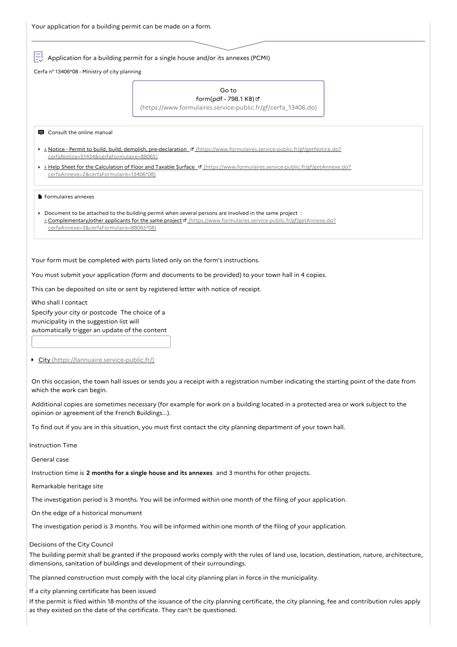Application for a building permit for a single house and/or its annexes (PCMI)

Cerfa n° 13406\*08 - Ministry of city planning

| Go to                  |  |
|------------------------|--|
| form(pdf - 798.1 KB) & |  |

[\(https://www.formulaires.service-public.fr/gf/cerfa\\_13406.do\)](https://www.formulaires.service-public.fr/gf/cerfa_13406.do)

**E** Consult the online manual

- > Notice Permit to build, build, demolish, pre-declaration <sup>of</sup> [\(https://www.formulaires.service-public.fr/gf/getNotice.do?](https://www.formulaires.service-public.fr/gf/getNotice.do?cerfaNotice=51434&cerfaFormulaire=88065) cerfaNotice=51434&cerfaFormulaire=88065)
- Help Sheet for the Calculation of Floor and Taxable Surface [\(https://www.formulaires.service-public.fr/gf/getAnnexe.do?](https://www.formulaires.service-public.fr/gf/getAnnexe.do?cerfaAnnexe=2&cerfaFormulaire=13406*08) cerfaAnnexe=2&cerfaFormulaire=13406\*08)

Formulaires annexes

Document to be attached to the building permit when several persons are involved in the same project : > Complementary/other applicants for the same project d' [\(https://www.formulaires.service-public.fr/gf/getAnnexe.do?](https://www.formulaires.service-public.fr/gf/getAnnexe.do?cerfaAnnexe=3&cerfaFormulaire=88065*08) cerfaAnnexe=3&cerfaFormulaire=88065\*08)

Your form must be completed with parts listed only on the form's instructions.

You must submit your application (form and documents to be provided) to your town hall in 4 copies.

This can be deposited on site or sent by registered letter with notice of receipt.

Who shall I contact Specify your city or postcode The choice of a municipality in the suggestion list will automatically trigger an update of the content

● City [\(https://lannuaire.service-public.fr/\)](https://lannuaire.service-public.fr/)

On this occasion, the town hall issues or sends you a receipt with a registration number indicating the starting point of the date from which the work can begin.

Additional copies are sometimes necessary (for example for work on a building located in a protected area or work subject to the opinion or agreement of the French Buildings...).

To find out if you are in this situation, you must first contact the city planning department of your town hall.

Instruction Time

General case

Instruction time is **2 months for a single house and its annexes** and 3 months for other projects.

Remarkable heritage site

The investigation period is 3 months. You will be informed within one month of the filing of your application.

On the edge of a historical monument

The investigation period is 3 months. You will be informed within one month of the filing of your application.

Decisions of the City Council

The building permit shall be granted if the proposed works comply with the rules of land use, location, destination, nature, architecture, dimensions, sanitation of buildings and development of their surroundings.

The planned construction must comply with the local city planning plan in force in the municipality.

If a city planning certificate has been issued

If the permit is filed within 18 months of the issuance of the city planning certificate, the city planning, fee and contribution rules apply as they existed on the date of the certificate. They can't be questioned.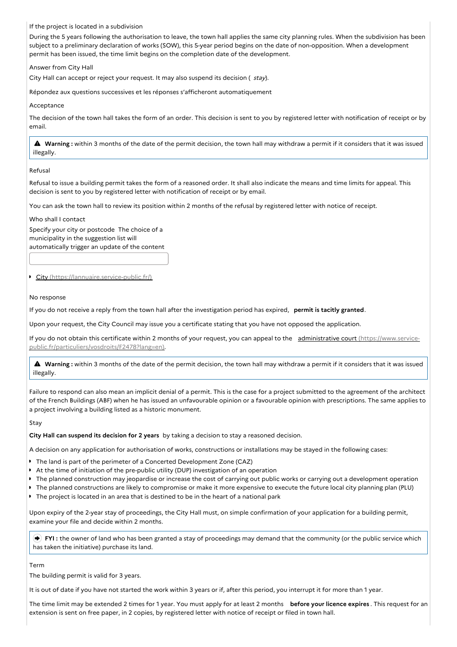If the project is located in a subdivision

During the 5 years following the authorisation to leave, the town hall applies the same city planning rules. When the subdivision has been subject to a preliminary declaration of works (SOW), this 5-year period begins on the date of non-opposition. When a development permit has been issued, the time limit begins on the completion date of the development.

Answer from City Hall

City Hall can accept or reject your request. It may also suspend its decision ( stay).

Répondez aux questions successives et les réponses s'afficheront automatiquement

Acceptance

The decision of the town hall takes the form of an order. This decision is sent to you by registered letter with notification of receipt or by email.

 **Warning :** within <sup>3</sup> months of the date of the permit decision, the town hall may withdraw <sup>a</sup> permit if it considers that it was issued illegally.

## Refusal

Refusal to issue a building permit takes the form of a reasoned order. It shall also indicate the means and time limits for appeal. This decision is sent to you by registered letter with notification of receipt or by email.

You can ask the town hall to review its position within 2 months of the refusal by registered letter with notice of receipt.

Who shall I contact

Specify your city or postcode The choice of a municipality in the suggestion list will automatically trigger an update of the content

City [\(https://lannuaire.service-public.fr/\)](https://lannuaire.service-public.fr/)

## No response

If you do not receive a reply from the town hall after the investigation period has expired, **permit is tacitly granted**.

Upon your request, the City Council may issue you a certificate stating that you have not opposed the application.

If you do not obtain this certificate within 2 months of your request, you can appeal to the administrative court (https://www.service[public.fr/particuliers/vosdroits/F2478?lang=en\).](https://www.service-public.fr/particuliers/vosdroits/F2478?lang=en)

 **Warning :** within <sup>3</sup> months of the date of the permit decision, the town hall may withdraw <sup>a</sup> permit if it considers that it was issued illegally.

Failure to respond can also mean an implicit denial of a permit. This is the case for a project submitted to the agreement of the architect of the French Buildings (ABF) when he has issued an unfavourable opinion or a favourable opinion with prescriptions. The same applies to a project involving a building listed as a historic monument.

## Stay

**City Hall can suspend its decision for 2 years** by taking a decision to stay a reasoned decision.

A decision on any application for authorisation of works, constructions or installations may be stayed in the following cases:

- The land is part of the perimeter of a Concerted Development Zone (CAZ)
- At the time of initiation of the pre-public utility (DUP) investigation of an operation
- The planned construction may jeopardise or increase the cost of carrying out public works or carrying out a development operation
- The planned constructions are likely to compromise or make it more expensive to execute the future local city planning plan (PLU)
- The project is located in an area that is destined to be in the heart of a national park

Upon expiry of the 2-year stay of proceedings, the City Hall must, on simple confirmation of your application for a building permit, examine your file and decide within 2 months.

**FYI** : the owner of land who has been granted a stay of proceedings may demand that the community (or the public service which has taken the initiative) purchase its land.

#### Term

The building permit is valid for 3 years.

It is out of date if you have not started the work within 3 years or if, after this period, you interrupt it for more than 1 year.

The time limit may be extended 2 times for 1 year. You must apply for at least 2 months **before your licence expires** . This request for an extension is sent on free paper, in 2 copies, by registered letter with notice of receipt or filed in town hall.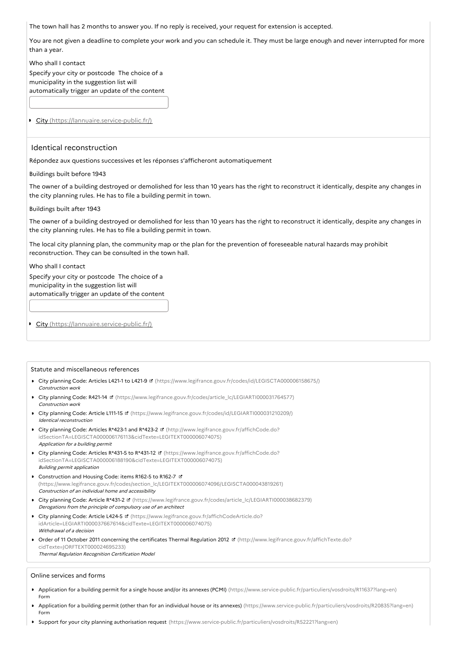The town hall has 2 months to answer you. If no reply is received, your request for extension is accepted.

You are not given a deadline to complete your work and you can schedule it. They must be large enough and never interrupted for more than a year.

Who shall I contact

Specify your city or postcode The choice of a municipality in the suggestion list will automatically trigger an update of the content

City [\(https://lannuaire.service-public.fr/\)](https://lannuaire.service-public.fr/)

## Identical reconstruction

Répondez aux questions successives et les réponses s'afficheront automatiquement

Buildings built before 1943

The owner of a building destroyed or demolished for less than 10 years has the right to reconstruct it identically, despite any changes in the city planning rules. He has to file a building permit in town.

Buildings built after 1943

The owner of a building destroyed or demolished for less than 10 years has the right to reconstruct it identically, despite any changes in the city planning rules. He has to file a building permit in town.

The local city planning plan, the community map or the plan for the prevention of foreseeable natural hazards may prohibit reconstruction. They can be consulted in the town hall.

## Who shall I contact

Specify your city or postcode The choice of a municipality in the suggestion list will automatically trigger an update of the content

City [\(https://lannuaire.service-public.fr/\)](https://lannuaire.service-public.fr/)

## Statute and miscellaneous references

- City planning Code: Articles L421-1 to L421-9 **¤** [\(https://www.legifrance.gouv.fr/codes/id/LEGISCTA000006158675/\)](https://www.legifrance.gouv.fr/codes/id/LEGISCTA000006158675/) Construction work
- City planning Code: R421-14 [\(https://www.legifrance.gouv.fr/codes/article\\_lc/LEGIARTI000031764577\)](https://www.legifrance.gouv.fr/codes/article_lc/LEGIARTI000031764577) Construction work
- City planning Code: Article L111-15 [\(https://www.legifrance.gouv.fr/codes/id/LEGIARTI000031210209/\)](https://www.legifrance.gouv.fr/codes/id/LEGIARTI000031210209/) Identical reconstruction
- City planning Code: Articles R\*423-1 and R\*423-2 **¤** (http://www.legifrance.gouv.fr/affichCode.do? [idSectionTA=LEGISCTA000006176113&cidTexte=LEGITEXT000006074075\)](http://www.legifrance.gouv.fr/affichCode.do?idSectionTA=LEGISCTA000006176113&cidTexte=LEGITEXT000006074075) Application for <sup>a</sup> building permit
- City planning Code: Articles R\*431-5 to R\*431-12 **¤** (https://www.legifrance.gouv.fr/affichCode.do? [idSectionTA=LEGISCTA000006188190&cidTexte=LEGITEXT000006074075\)](https://www.legifrance.gouv.fr/affichCode.do?idSectionTA=LEGISCTA000006188190&cidTexte=LEGITEXT000006074075) Building permit application
- Construction and Housing Code: items R162-5 to R162-7 **E** [\(https://www.legifrance.gouv.fr/codes/section\\_lc/LEGITEXT000006074096/LEGISCTA000043819261\)](https://www.legifrance.gouv.fr/codes/section_lc/LEGITEXT000006074096/LEGISCTA000043819261) Construction of an individual home and accessibility
- City planning Code: Article R\*431-2 [\(https://www.legifrance.gouv.fr/codes/article\\_lc/LEGIARTI000038682379\)](https://www.legifrance.gouv.fr/codes/article_lc/LEGIARTI000038682379) Derogations from the principle of compulsory use of an architect
- City planning Code: Article L424-5 **¤** (https://www.legifrance.gouv.fr/affichCodeArticle.do? [idArticle=LEGIARTI000037667614&cidTexte=LEGITEXT000006074075\)](https://www.legifrance.gouv.fr/affichCodeArticle.do?idArticle=LEGIARTI000037667614&cidTexte=LEGITEXT000006074075) Withdrawal of <sup>a</sup> decision
- Order of 11 October 2011 concerning the certificates Thermal Regulation 2012 **¤** [\(http://www.legifrance.gouv.fr/affichTexte.do?](http://www.legifrance.gouv.fr/affichTexte.do?cidTexte=JORFTEXT000024695233) cidTexte=JORFTEXT000024695233) Thermal Regulation Recognition Certification Model

#### Online services and forms

- Application for a building permit for a single house and/or its annexes (PCMI) [\(https://www.service-public.fr/particuliers/vosdroits/R11637?lang=en\)](https://www.service-public.fr/particuliers/vosdroits/R11637?lang=en) Form
- Application for a building permit (other than for an individual house or its annexes) [\(https://www.service-public.fr/particuliers/vosdroits/R20835?lang=en\)](https://www.service-public.fr/particuliers/vosdroits/R20835?lang=en) Form
- Support for your city planning authorisation request [\(https://www.service-public.fr/particuliers/vosdroits/R52221?lang=en\)](https://www.service-public.fr/particuliers/vosdroits/R52221?lang=en)